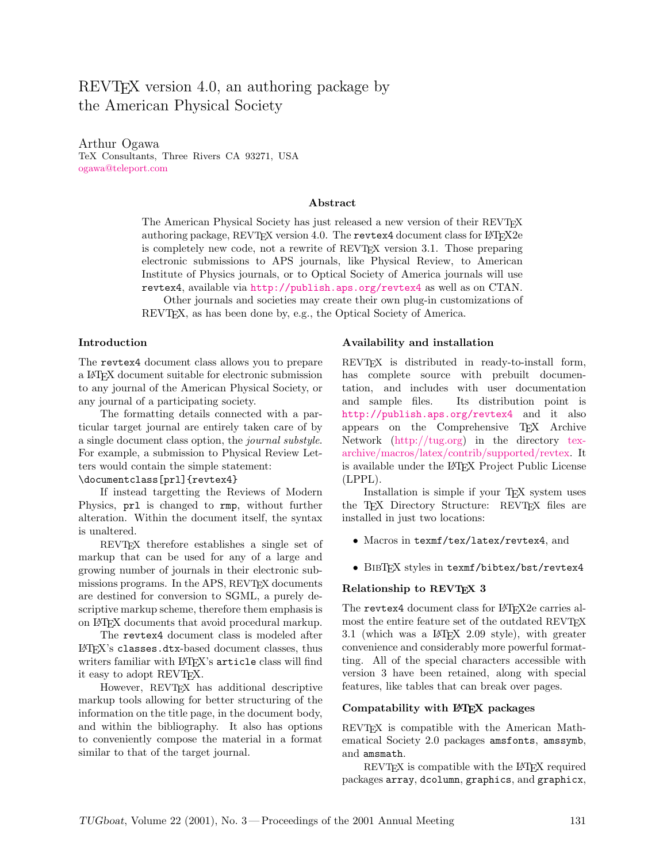# REVT<sub>EX</sub> version 4.0, an authoring package by the American Physical Society

Arthur Ogawa TeX Consultants, Three Rivers CA 93271, USA [ogawa@teleport.com](mailto:ogawa@teleport.com)

#### Abstract

The American Physical Society has just released a new version of their REVT<sub>F</sub>X authoring package, REVT<sub>EX</sub> version 4.0. The revtex4 document class for  $\angle$ FT<sub>E</sub>X2e is completely new code, not a rewrite of REVTEX version 3.1. Those preparing electronic submissions to APS journals, like Physical Review, to American Institute of Physics journals, or to Optical Society of America journals will use revtex4, available via <http://publish.aps.org/revtex4> as well as on CTAN.

Other journals and societies may create their own plug-in customizations of REVTEX, as has been done by, e.g., the Optical Society of America.

#### Introduction

The revtex4 document class allows you to prepare a LATEX document suitable for electronic submission to any journal of the American Physical Society, or any journal of a participating society.

The formatting details connected with a particular target journal are entirely taken care of by a single document class option, the journal substyle. For example, a submission to Physical Review Letters would contain the simple statement:

## \documentclass[prl]{revtex4}

If instead targetting the Reviews of Modern Physics, prl is changed to rmp, without further alteration. Within the document itself, the syntax is unaltered.

REVTEX therefore establishes a single set of markup that can be used for any of a large and growing number of journals in their electronic submissions programs. In the APS, REVT<sub>F</sub>X documents are destined for conversion to SGML, a purely descriptive markup scheme, therefore them emphasis is on LATEX documents that avoid procedural markup.

The revtex4 document class is modeled after LATEX's classes.dtx-based document classes, thus writers familiar with LAT<sub>EX</sub>'s article class will find it easy to adopt REVT<sub>FX</sub>.

However, REVTEX has additional descriptive markup tools allowing for better structuring of the information on the title page, in the document body, and within the bibliography. It also has options to conveniently compose the material in a format similar to that of the target journal.

#### Availability and installation

REVTEX is distributed in ready-to-install form, has complete source with prebuilt documentation, and includes with user documentation and sample files. Its distribution point is <http://publish.aps.org/revtex4> and it also appears on the Comprehensive TEX Archive Network [\(http://tug.org\)](http://tug.org/) in the directory [tex](http://tug.org/tex-archive/macros/latex/contrib/supported/revtex)[archive/macros/latex/contrib/supported/revtex.](http://tug.org/tex-archive/macros/latex/contrib/supported/revtex) It is available under the L<sup>AT</sup>EX Project Public License (LPPL).

Installation is simple if your TEX system uses the T<sub>EX</sub> Directory Structure: REVT<sub>EX</sub> files are installed in just two locations:

- Macros in texmf/tex/latex/revtex4, and
- BIBTEX styles in texmf/bibtex/bst/revtex4

#### Relationship to REVT<sub>E</sub>X 3

The revtex4 document class for LATFX2e carries almost the entire feature set of the outdated REVTEX 3.1 (which was a  $\text{PTFX}$  2.09 style), with greater convenience and considerably more powerful formatting. All of the special characters accessible with version 3 have been retained, along with special features, like tables that can break over pages.

## Compatability with L<sup>AT</sup>EX packages

REVTEX is compatible with the American Mathematical Society 2.0 packages amsfonts, amssymb, and amsmath.

REVTEX is compatible with the LATEX required packages array, dcolumn, graphics, and graphicx,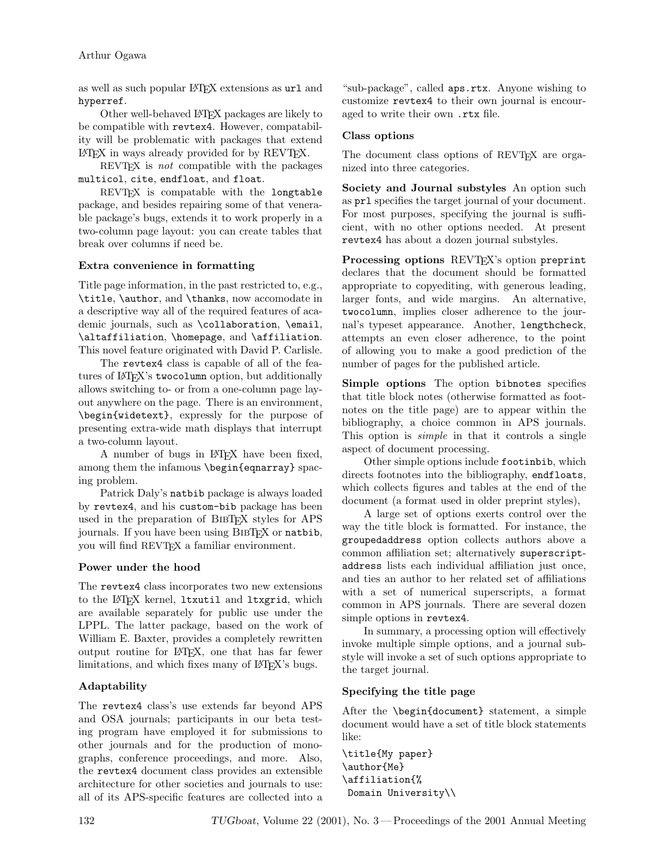as well as such popular LATEX extensions as url and hyperref.

Other well-behaved LATEX packages are likely to be compatible with revtex4. However, compatability will be problematic with packages that extend LATEX in ways already provided for by REVTEX.

REVT<sub>F</sub>X is *not* compatible with the packages multicol, cite, endfloat, and float.

REVT<sub>F</sub>X is compatable with the longtable package, and besides repairing some of that venerable package's bugs, extends it to work properly in a two-column page layout: you can create tables that break over columns if need be.

## Extra convenience in formatting

Title page information, in the past restricted to, e.g., \title, \author, and \thanks, now accomodate in a descriptive way all of the required features of academic journals, such as \collaboration, \email, \altaffiliation, \homepage, and \affiliation. This novel feature originated with David P. Carlisle.

The revtex4 class is capable of all of the features of LATEX's twocolumn option, but additionally allows switching to- or from a one-column page layout anywhere on the page. There is an environment, \begin{widetext}, expressly for the purpose of presenting extra-wide math displays that interrupt a two-column layout.

A number of bugs in LATEX have been fixed, among them the infamous \begin{eqnarray} spacing problem.

Patrick Daly's natbib package is always loaded by revtex4, and his custom-bib package has been used in the preparation of BibTEX styles for APS journals. If you have been using BIBTEX or natbib, you will find REVTEX a familiar environment.

### Power under the hood

The revtex4 class incorporates two new extensions to the L<sup>AT</sup>FX kernel, 1txutil and 1txgrid, which are available separately for public use under the LPPL. The latter package, based on the work of William E. Baxter, provides a completely rewritten output routine for LATEX, one that has far fewer limitations, and which fixes many of IATEX's bugs.

## Adaptability

The revtex4 class's use extends far beyond APS and OSA journals; participants in our beta testing program have employed it for submissions to other journals and for the production of monographs, conference proceedings, and more. Also, the revtex4 document class provides an extensible architecture for other societies and journals to use: all of its APS-specific features are collected into a "sub-package", called aps.rtx. Anyone wishing to customize revtex4 to their own journal is encouraged to write their own .rtx file.

## Class options

The document class options of REVTEX are organized into three categories.

Society and Journal substyles An option such as prl specifies the target journal of your document. For most purposes, specifying the journal is sufficient, with no other options needed. At present revtex4 has about a dozen journal substyles.

Processing options REVT<sub>FX</sub>'s option preprint declares that the document should be formatted appropriate to copyediting, with generous leading, larger fonts, and wide margins. An alternative, twocolumn, implies closer adherence to the journal's typeset appearance. Another, lengthcheck, attempts an even closer adherence, to the point of allowing you to make a good prediction of the number of pages for the published article.

Simple options The option bibnotes specifies that title block notes (otherwise formatted as footnotes on the title page) are to appear within the bibliography, a choice common in APS journals. This option is *simple* in that it controls a single aspect of document processing.

Other simple options include footinbib, which directs footnotes into the bibliography, endfloats, which collects figures and tables at the end of the document (a format used in older preprint styles),

A large set of options exerts control over the way the title block is formatted. For instance, the groupedaddress option collects authors above a common affiliation set; alternatively superscriptaddress lists each individual affiliation just once, and ties an author to her related set of affiliations with a set of numerical superscripts, a format common in APS journals. There are several dozen simple options in revtex4.

In summary, a processing option will effectively invoke multiple simple options, and a journal substyle will invoke a set of such options appropriate to the target journal.

## Specifying the title page

After the \begin{document} statement, a simple document would have a set of title block statements like:

\title{My paper} \author{Me} \affiliation{% Domain University\\